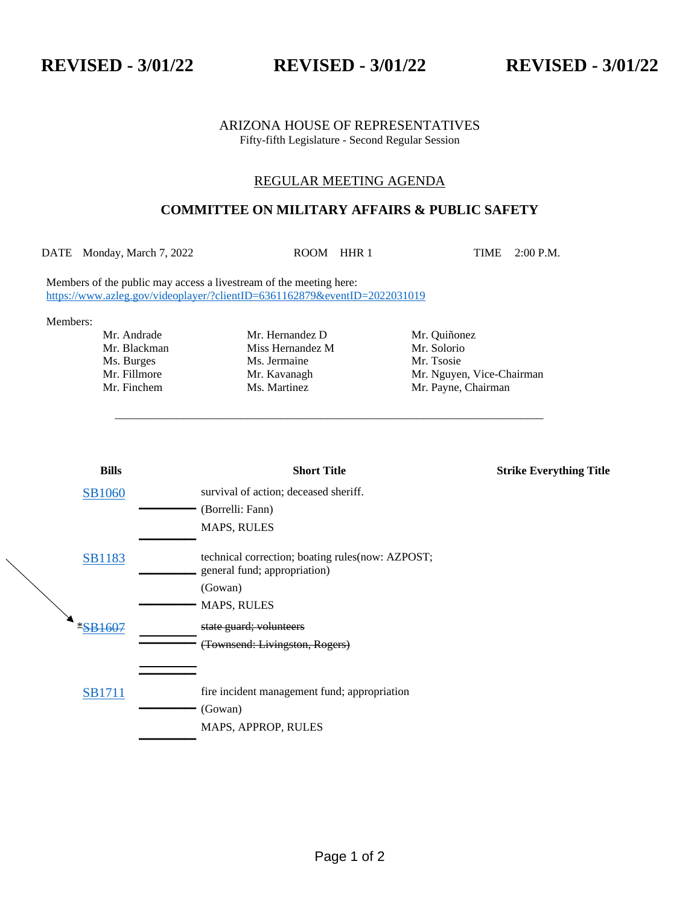**REVISED - 3/01/22 REVISED - 3/01/22 REVISED - 3/01/22**

## ARIZONA HOUSE OF REPRESENTATIVES Fifty-fifth Legislature - Second Regular Session

## REGULAR MEETING AGENDA

## **COMMITTEE ON MILITARY AFFAIRS & PUBLIC SAFETY**

DATE Monday, March 7, 2022 ROOM HHR 1 TIME 2:00 P.M.

\_\_\_\_\_\_\_\_\_\_\_\_\_\_\_\_\_\_\_\_\_\_\_\_\_\_\_\_\_\_\_\_\_\_\_\_\_\_\_\_\_\_\_\_\_\_\_\_\_\_\_\_\_\_\_\_\_\_\_\_\_\_\_\_\_\_\_\_\_\_\_\_\_\_\_

Members of the public may access a livestream of the meeting here: <https://www.azleg.gov/videoplayer/?clientID=6361162879&eventID=2022031019>

Members:

Mr. Andrade Mr. Hernandez D Mr. Quiñonez Mr. Blackman Miss Hernandez M Mr. Solorio<br>
Ms. Burges Ms. Jermaine Mr. Tsosie Ms. Burges Ms. Jermaine

Mr. Fillmore Mr. Kavanagh Mr. Mguyen, Vice-Chairman Mr. Finchem Ms. Martinez Mr. Payne, Chairman

|  | <b>Bills</b>   | <b>Short Title</b>                                                                | <b>Strike Everything Title</b> |
|--|----------------|-----------------------------------------------------------------------------------|--------------------------------|
|  | <b>SB1060</b>  | survival of action; deceased sheriff.                                             |                                |
|  |                | (Borrelli: Fann)                                                                  |                                |
|  |                | <b>MAPS, RULES</b>                                                                |                                |
|  | <b>SB1183</b>  | technical correction; boating rules (now: AZPOST;<br>general fund; appropriation) |                                |
|  |                | (Gowan)                                                                           |                                |
|  |                | <b>MAPS, RULES</b>                                                                |                                |
|  | <b>*SB1607</b> | state guard; volunteers                                                           |                                |
|  |                | (Townsend: Livingston, Rogers)                                                    |                                |
|  |                |                                                                                   |                                |
|  | <b>SB1711</b>  | fire incident management fund; appropriation                                      |                                |
|  |                | (Gowan)                                                                           |                                |
|  |                | MAPS, APPROP, RULES                                                               |                                |
|  |                |                                                                                   |                                |